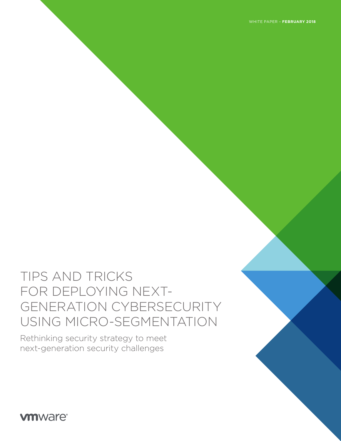WHITE PAPER – **FEBRUARY 2018**

# TIPS AND TRICKS FOR DEPLOYING NEXT-GENERATION CYBERSECURITY USING MICRO-SEGMENTATION

Rethinking security strategy to meet next-generation security challenges

**vm**ware<sup>®</sup>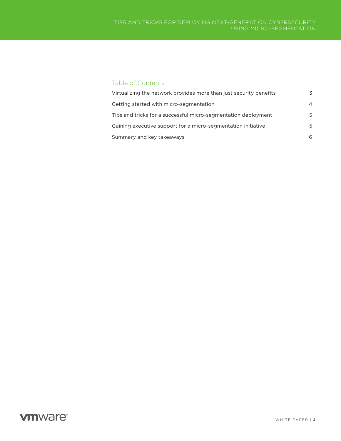## Table of Contents

| Virtualizing the network provides more than just security benefits | 3              |
|--------------------------------------------------------------------|----------------|
| Getting started with micro-segmentation                            | $\overline{4}$ |
| Tips and tricks for a successful micro-segmentation deployment     | .5             |
| Gaining executive support for a micro-segmentation initiative      | .5             |
| Summary and key takeaways                                          | 6              |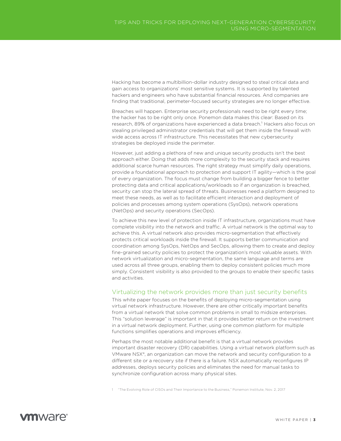Hacking has become a multibillion-dollar industry designed to steal critical data and gain access to organizations' most sensitive systems. It is supported by talented hackers and engineers who have substantial financial resources. And companies are finding that traditional, perimeter-focused security strategies are no longer effective.

Breaches will happen. Enterprise security professionals need to be right every time; the hacker has to be right only once. Ponemon data makes this clear: Based on its research, 89% of organizations have experienced a data breach.<sup>1</sup> Hackers also focus on stealing privileged administrator credentials that will get them inside the firewall with wide access across IT infrastructure. This necessitates that new cybersecurity strategies be deployed inside the perimeter.

However, just adding a plethora of new and unique security products isn't the best approach either. Doing that adds more complexity to the security stack and requires additional scarce human resources. The right strategy must simplify daily operations, provide a foundational approach to protection and support IT agility—which is the goal of every organization. The focus must change from building a bigger fence to better protecting data and critical applications/workloads so if an organization is breached, security can stop the lateral spread of threats. Businesses need a platform designed to meet these needs, as well as to facilitate efficient interaction and deployment of policies and processes among system operations (SysOps), network operations (NetOps) and security operations (SecOps).

To achieve this new level of protection inside IT infrastructure, organizations must have complete visibility into the network and traffic. A virtual network is the optimal way to achieve this. A virtual network also provides micro-segmentation that effectively protects critical workloads inside the firewall. It supports better communication and coordination among SysOps, NetOps and SecOps, allowing them to create and deploy fine-grained security policies to protect the organization's most valuable assets. With network virtualization and micro-segmentation, the same language and terms are used across all three groups, enabling them to deploy consistent policies much more simply. Consistent visibility is also provided to the groups to enable their specific tasks and activities.

### Virtualizing the network provides more than just security benefits

This white paper focuses on the benefits of deploying micro-segmentation using virtual network infrastructure. However, there are other critically important benefits from a virtual network that solve common problems in small to midsize enterprises. This "solution leverage" is important in that it provides better return on the investment in a virtual network deployment. Further, using one common platform for multiple functions simplifies operations and improves efficiency.

Perhaps the most notable additional benefit is that a virtual network provides important disaster recovery (DR) capabilities. Using a virtual network platform such as VMware NSX®, an organization can move the network and security configuration to a different site or a recovery site if there is a failure. NSX automatically reconfigures IP addresses, deploys security policies and eliminates the need for manual tasks to synchronize configuration across many physical sites.

1 "[The Evolving Role of CISOs and Their Importance to the Business](https://www.ponemon.org/library/the-evolving-role-of-cisos-and-their-importance-to-the-business)," Ponemon Institute, Nov. 2, 2017

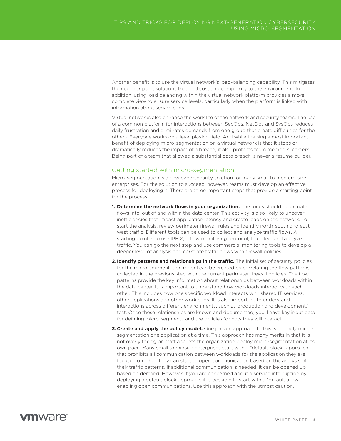Another benefit is to use the virtual network's load-balancing capability. This mitigates the need for point solutions that add cost and complexity to the environment. In addition, using load balancing within the virtual network platform provides a more complete view to ensure service levels, particularly when the platform is linked with information about server loads.

Virtual networks also enhance the work life of the network and security teams. The use of a common platform for interactions between SecOps, NetOps and SysOps reduces daily frustration and eliminates demands from one group that create difficulties for the others. Everyone works on a level playing field. And while the single most important benefit of deploying micro-segmentation on a virtual network is that it stops or dramatically reduces the impact of a breach, it also protects team members' careers. Being part of a team that allowed a substantial data breach is never a resume builder.

### Getting started with micro-segmentation

Micro-segmentation is a new cybersecurity solution for many small to medium-size enterprises. For the solution to succeed, however, teams must develop an effective process for deploying it. There are three important steps that provide a starting point for the process:

- **1. Determine the network flows in your organization.** The focus should be on data flows into, out of and within the data center. This activity is also likely to uncover inefficiencies that impact application latency and create loads on the network. To start the analysis, review perimeter firewall rules and identify north-south and eastwest traffic. Different tools can be used to collect and analyze traffic flows. A starting point is to use IPFIX, a flow monitoring protocol, to collect and analyze traffic. You can go the next step and use commercial monitoring tools to develop a deeper level of analysis and correlate traffic flows with firewall policies.
- **2.Identify patterns and relationships in the traffic.** The initial set of security policies for the micro-segmentation model can be created by correlating the flow patterns collected in the previous step with the current perimeter firewall policies. The flow patterns provide the key information about relationships between workloads within the data center. It is important to understand how workloads interact with each other. This includes how one specific workload interacts with shared IT services, other applications and other workloads. It is also important to understand interactions across different environments, such as production and development/ test. Once these relationships are known and documented, you'll have key input data for defining micro-segments and the policies for how they will interact.
- **3. Create and apply the policy model.** One proven approach to this is to apply microsegmentation one application at a time. This approach has many merits in that it is not overly taxing on staff and lets the organization deploy micro-segmentation at its own pace. Many small to midsize enterprises start with a "default block" approach that prohibits all communication between workloads for the application they are focused on. Then they can start to open communication based on the analysis of their traffic patterns. If additional communication is needed, it can be opened up based on demand. However, if you are concerned about a service interruption by deploying a default block approach, it is possible to start with a "default allow," enabling open communications. Use this approach with the utmost caution.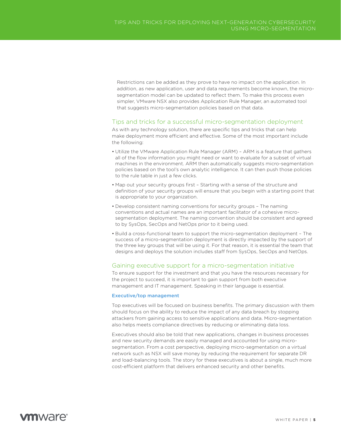Restrictions can be added as they prove to have no impact on the application. In addition, as new application, user and data requirements become known, the microsegmentation model can be updated to reflect them. To make this process even simpler, VMware NSX also provides Application Rule Manager, an automated tool that suggests micro-segmentation policies based on that data.

#### Tips and tricks for a successful micro-segmentation deployment

As with any technology solution, there are specific tips and tricks that can help make deployment more efficient and effective. Some of the most important include the following:

- Utilize the VMware Application Rule Manager (ARM) ARM is a feature that gathers all of the flow information you might need or want to evaluate for a subset of virtual machines in the environment. ARM then automatically suggests micro-segmentation policies based on the tool's own analytic intelligence. It can then push those policies to the rule table in just a few clicks.
- Map out your security groups first Starting with a sense of the structure and definition of your security groups will ensure that you begin with a starting point that is appropriate to your organization.
- Develop consistent naming conventions for security groups The naming conventions and actual names are an important facilitator of a cohesive microsegmentation deployment. The naming convention should be consistent and agreed to by SysOps, SecOps and NetOps prior to it being used.
- Build a cross-functional team to support the micro-segmentation deployment The success of a micro-segmentation deployment is directly impacted by the support of the three key groups that will be using it. For that reason, it is essential the team that designs and deploys the solution includes staff from SysOps, SecOps and NetOps.

### Gaining executive support for a micro-segmentation initiative

To ensure support for the investment and that you have the resources necessary for the project to succeed, it is important to gain support from both executive management and IT management. Speaking in their language is essential.

#### Executive/top management

Top executives will be focused on business benefits. The primary discussion with them should focus on the ability to reduce the impact of any data breach by stopping attackers from gaining access to sensitive applications and data. Micro-segmentation also helps meets compliance directives by reducing or eliminating data loss.

Executives should also be told that new applications, changes in business processes and new security demands are easily managed and accounted for using microsegmentation. From a cost perspective, deploying micro-segmentation on a virtual network such as NSX will save money by reducing the requirement for separate DR and load-balancing tools. The story for these executives is about a single, much more cost-efficient platform that delivers enhanced security and other benefits.

# **vm**ware<sup>®</sup>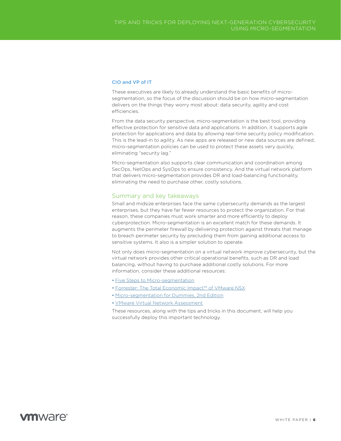#### CIO and VP of IT

These executives are likely to already understand the basic benefits of microsegmentation, so the focus of the discussion should be on how micro-segmentation delivers on the things they worry most about: data security, agility and cost efficiencies.

From the data security perspective, micro-segmentation is the best tool, providing effective protection for sensitive data and applications. In addition, it supports agile protection for applications and data by allowing real-time security policy modification. This is the lead-in to agility. As new apps are released or new data sources are defined, micro-segmentation policies can be used to protect these assets very quickly, eliminating "security lag."

Micro-segmentation also supports clear communication and coordination among SecOps, NetOps and SysOps to ensure consistency. And the virtual network platform that delivers micro-segmentation provides DR and load-balancing functionality, eliminating the need to purchase other, costly solutions.

#### Summary and key takeaways

Small and midsize enterprises face the same cybersecurity demands as the largest enterprises, but they have far fewer resources to protect the organization. For that reason, these companies must work smarter and more efficiently to deploy cyberprotection. Micro-segmentation is an excellent match for these demands. It augments the perimeter firewall by delivering protection against threats that manage to breach perimeter security by precluding them from gaining additional access to sensitive systems. It also is a simpler solution to operate.

Not only does micro-segmentation on a virtual network improve cybersecurity, but the virtual network provides other critical operational benefits, such as DR and load balancing, without having to purchase additional costly solutions. For more information, consider these additional resources:

- [Five Steps to Micro-segmentation](https://www.vmware.com/content/dam/digitalmarketing/vmware/en/pdf/products/nsx/vmware-five-steps-to-micro-segmentation.pdf)
- [Forrester: The Total Economic Impact™ of VMware NSX](http://learn.vmware.com/43611_REG)
- [Micro-segmentation for Dummies, 2nd Edition](http://learn.vmware.com/41021_REG)
- [VMware Virtual Network Assessment](https://my.vmware.com/web/vmware/evalcenter?p=virtual-network-assessment)

These resources, along with the tips and tricks in this document, will help you successfully deploy this important technology.

# **vm**ware<sup>®</sup>